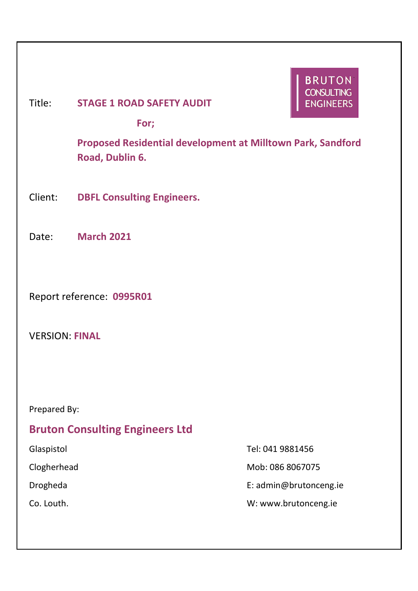# **BRUTON CONSULTING** Title: **STAGE 1 ROAD SAFETY AUDIT ENGINEERS For; Proposed Residential development at Milltown Park, Sandford Road, Dublin 6.** Client: **DBFL Consulting Engineers.** Date: **March 2021** Report reference: **0995R01** VERSION: **FINAL**

Prepared By:

# **Bruton Consulting Engineers Ltd**

Glaspistol Tel: 041 9881456

Clogherhead Mob: 086 8067075

Drogheda E: admin@brutonceng.ie

Co. Louth. W: www.brutonceng.ie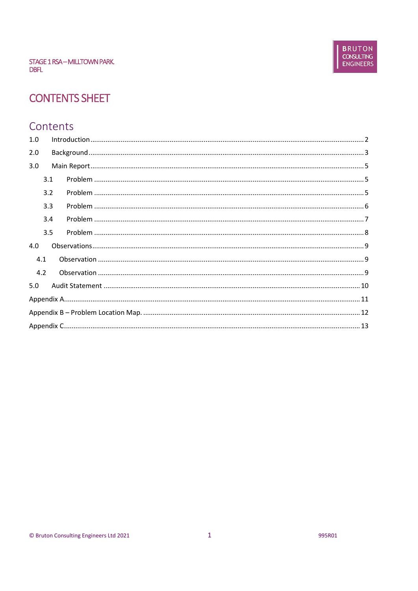# **CONTENTS SHEET**

## Contents

| 1.0 |  |
|-----|--|
| 2.0 |  |
| 3.0 |  |
| 3.1 |  |
| 3.2 |  |
| 3.3 |  |
| 3.4 |  |
| 3.5 |  |
| 4.0 |  |
| 4.1 |  |
| 4.2 |  |
| 5.0 |  |
|     |  |
|     |  |
|     |  |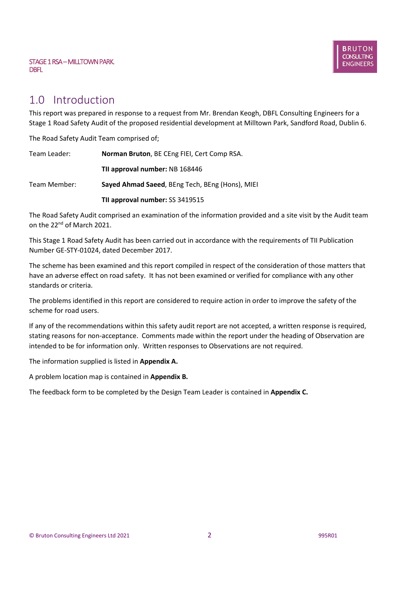## 1.0 Introduction

This report was prepared in response to a request from Mr. Brendan Keogh, DBFL Consulting Engineers for a Stage 1 Road Safety Audit of the proposed residential development at Milltown Park, Sandford Road, Dublin 6.

The Road Safety Audit Team comprised of;

| Team Leader: | Norman Bruton, BE CEng FIEI, Cert Comp RSA.     |  |  |
|--------------|-------------------------------------------------|--|--|
|              | TII approval number: NB 168446                  |  |  |
| Team Member: | Sayed Ahmad Saeed, BEng Tech, BEng (Hons), MIEI |  |  |
|              | TII approval number: SS 3419515                 |  |  |

The Road Safety Audit comprised an examination of the information provided and a site visit by the Audit team on the 22nd of March 2021.

This Stage 1 Road Safety Audit has been carried out in accordance with the requirements of TII Publication Number GE-STY-01024, dated December 2017.

The scheme has been examined and this report compiled in respect of the consideration of those matters that have an adverse effect on road safety. It has not been examined or verified for compliance with any other standards or criteria.

The problems identified in this report are considered to require action in order to improve the safety of the scheme for road users.

If any of the recommendations within this safety audit report are not accepted, a written response is required, stating reasons for non-acceptance. Comments made within the report under the heading of Observation are intended to be for information only. Written responses to Observations are not required.

The information supplied is listed in **Appendix A.**

A problem location map is contained in **Appendix B.**

The feedback form to be completed by the Design Team Leader is contained in **Appendix C.**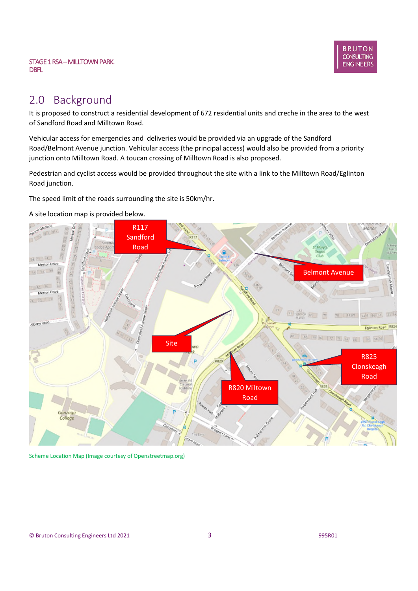

# 2.0 Background

It is proposed to construct a residential development of 672 residential units and creche in the area to the west of Sandford Road and Milltown Road.

Vehicular access for emergencies and deliveries would be provided via an upgrade of the Sandford Road/Belmont Avenue junction. Vehicular access (the principal access) would also be provided from a priority junction onto Milltown Road. A toucan crossing of Milltown Road is also proposed.

Pedestrian and cyclist access would be provided throughout the site with a link to the Milltown Road/Eglinton Road junction.

The speed limit of the roads surrounding the site is 50km/hr.

#### A site location map is provided below.



Scheme Location Map (Image courtesy of Openstreetmap.org)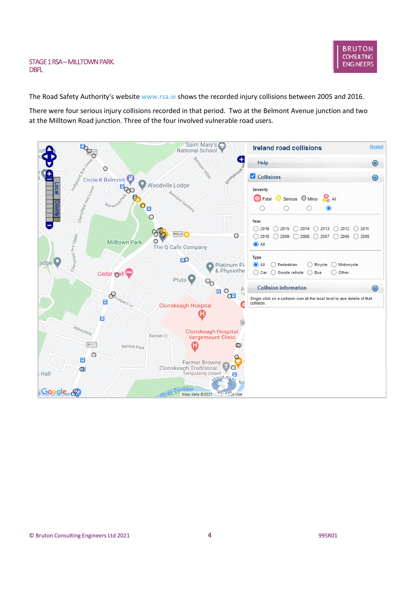The Road Safety Authority's website www.rsa.ie shows the recorded injury collisions between 2005 and 2016.

There were four serious injury collisions recorded in that period. Two at the Belmont Avenue junction and two at the Milltown Road junction. Three of the four involved vulnerable road users.

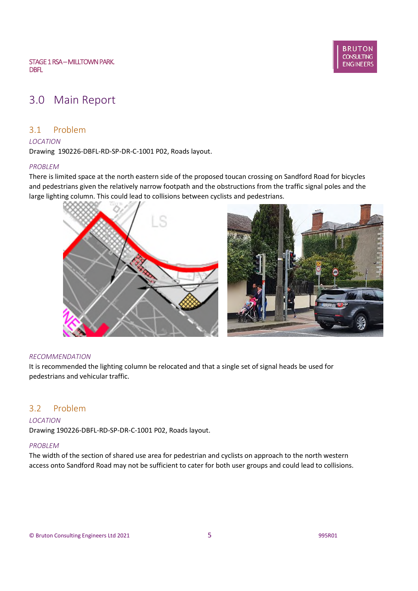# 3.0 Main Report

## 3.1 Problem

#### *LOCATION*

Drawing 190226-DBFL-RD-SP-DR-C-1001 P02, Roads layout.

#### *PROBLEM*

There is limited space at the north eastern side of the proposed toucan crossing on Sandford Road for bicycles and pedestrians given the relatively narrow footpath and the obstructions from the traffic signal poles and the large lighting column. This could lead to collisions between cyclists and pedestrians.



#### *RECOMMENDATION*

It is recommended the lighting column be relocated and that a single set of signal heads be used for pedestrians and vehicular traffic.

## 3.2 Problem

#### *LOCATION*

Drawing 190226-DBFL-RD-SP-DR-C-1001 P02, Roads layout.

#### *PROBLEM*

The width of the section of shared use area for pedestrian and cyclists on approach to the north western access onto Sandford Road may not be sufficient to cater for both user groups and could lead to collisions.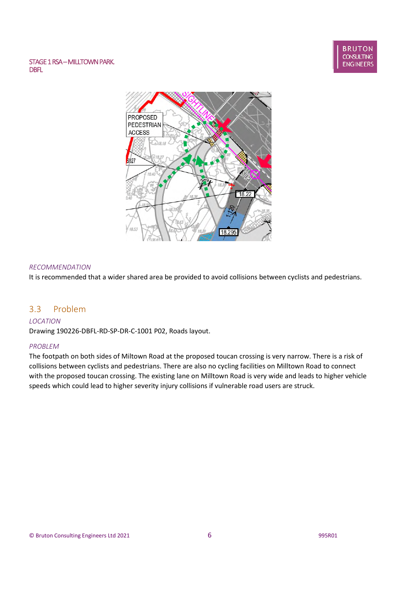#### **BRUTON CONSULTING ENGINEERS**

#### STAGE 1 RSA-MILLTOWN PARK. DBFL



#### *RECOMMENDATION*

It is recommended that a wider shared area be provided to avoid collisions between cyclists and pedestrians.

### 3.3 Problem

#### *LOCATION*

Drawing 190226-DBFL-RD-SP-DR-C-1001 P02, Roads layout.

#### *PROBLEM*

The footpath on both sides of Miltown Road at the proposed toucan crossing is very narrow. There is a risk of collisions between cyclists and pedestrians. There are also no cycling facilities on Milltown Road to connect with the proposed toucan crossing. The existing lane on Milltown Road is very wide and leads to higher vehicle speeds which could lead to higher severity injury collisions if vulnerable road users are struck.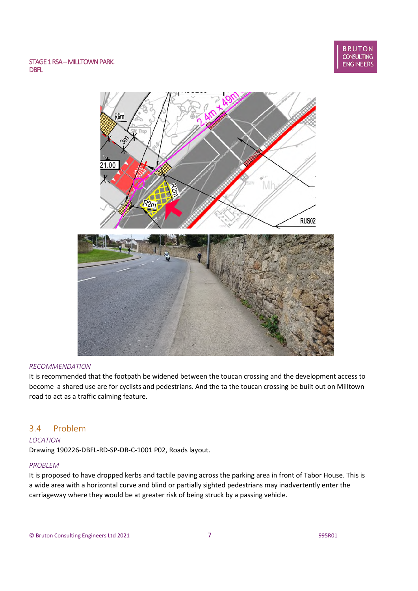

#### *RECOMMENDATION*

It is recommended that the footpath be widened between the toucan crossing and the development access to become a shared use are for cyclists and pedestrians. And the ta the toucan crossing be built out on Milltown road to act as a traffic calming feature.

## 3.4 Problem

#### *LOCATION*

Drawing 190226-DBFL-RD-SP-DR-C-1001 P02, Roads layout.

#### *PROBLEM*

It is proposed to have dropped kerbs and tactile paving across the parking area in front of Tabor House. This is a wide area with a horizontal curve and blind or partially sighted pedestrians may inadvertently enter the carriageway where they would be at greater risk of being struck by a passing vehicle.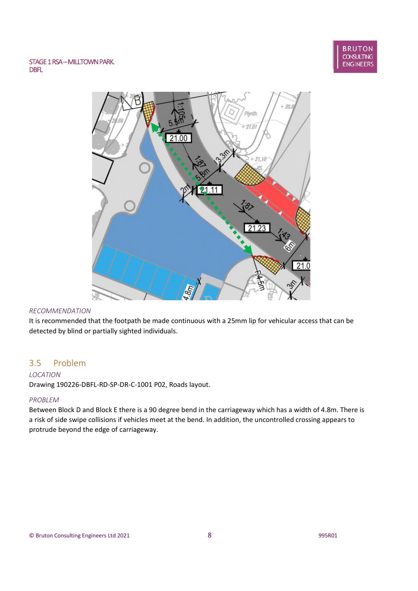

#### *RECOMMENDATION*

It is recommended that the footpath be made continuous with a 25mm lip for vehicular access that can be detected by blind or partially sighted individuals.

## 3.5 Problem

#### *LOCATION*

Drawing 190226-DBFL-RD-SP-DR-C-1001 P02, Roads layout.

#### *PROBLEM*

Between Block D and Block E there is a 90 degree bend in the carriageway which has a width of 4.8m. There is a risk of side swipe collisions if vehicles meet at the bend. In addition, the uncontrolled crossing appears to protrude beyond the edge of carriageway.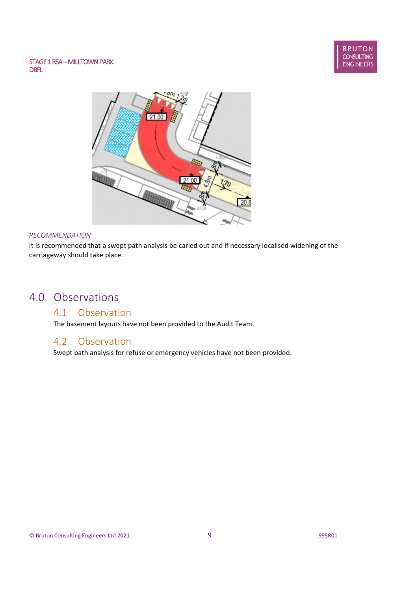



#### *RECOMMENDATION*

It is recommended that a swept path analysis be caried out and if necessary localised widening of the carriageway should take place.

# 4.0 Observations

## 4.1 Observation

The basement layouts have not been provided to the Audit Team.

## 4.2 Observation

Swept path analysis for refuse or emergency vehicles have not been provided.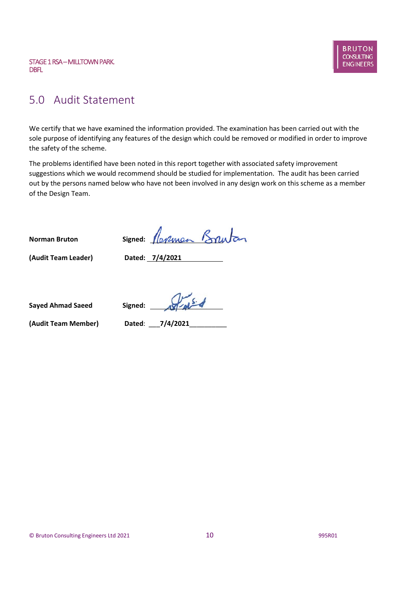

## 5.0 Audit Statement

We certify that we have examined the information provided. The examination has been carried out with the sole purpose of identifying any features of the design which could be removed or modified in order to improve the safety of the scheme.

The problems identified have been noted in this report together with associated safety improvement suggestions which we would recommend should be studied for implementation. The audit has been carried out by the persons named below who have not been involved in any design work on this scheme as a member of the Design Team.

**Norman Bruton Signed:**

**(Audit Team Leader) Dated: 7/4/2021**

**Sayed Ahmad Saeed Signed:**

**(Audit Team Member) Dated**: \_\_\_**7/4/2021**\_\_\_\_\_\_\_\_\_\_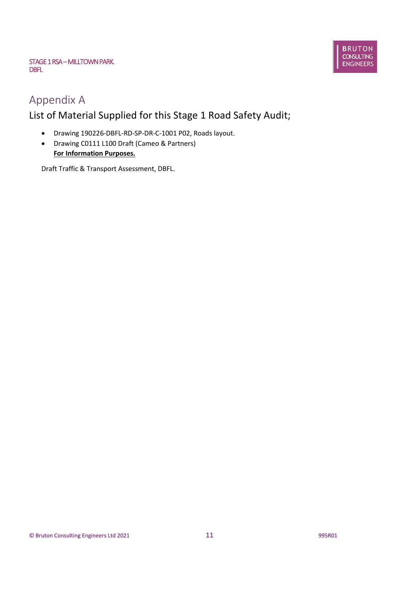

# Appendix A

# List of Material Supplied for this Stage 1 Road Safety Audit;

- Drawing 190226-DBFL-RD-SP-DR-C-1001 P02, Roads layout.
- Drawing C0111 L100 Draft (Cameo & Partners) **For Information Purposes.**

Draft Traffic & Transport Assessment, DBFL.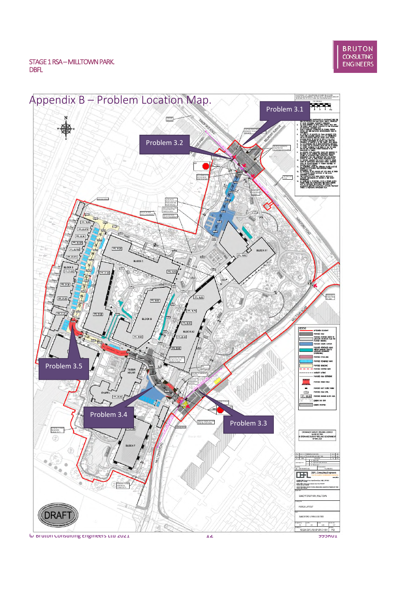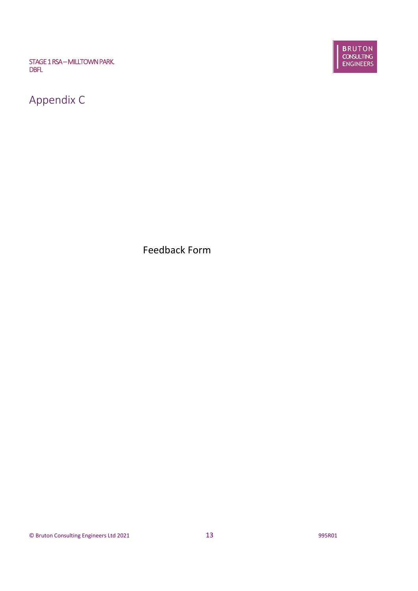

**BRUTON**<br>CONSULTING<br>ENGINEERS

Feedback Form